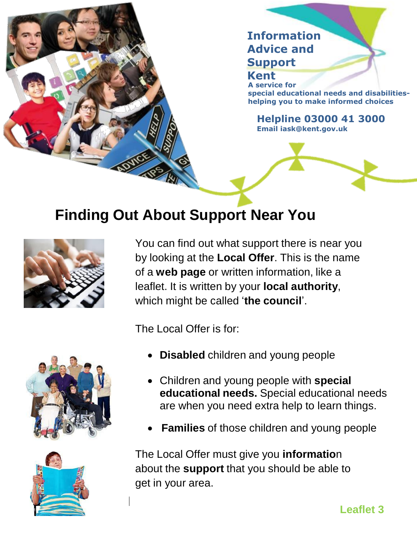

## **Finding Out About Support Near You**



You can find out what support there is near you by looking at the **Local Offer**. This is the name of a **web page** or written information, like a leaflet. It is written by your **local authority**, which might be called '**the council**'.

The Local Offer is for:

- **Disabled** children and young people
- Children and young people with **special educational needs.** Special educational needs are when you need extra help to learn things.
- **Families** of those children and young people

The Local Offer must give you **informatio**n about the **support** that you should be able to get in your area.



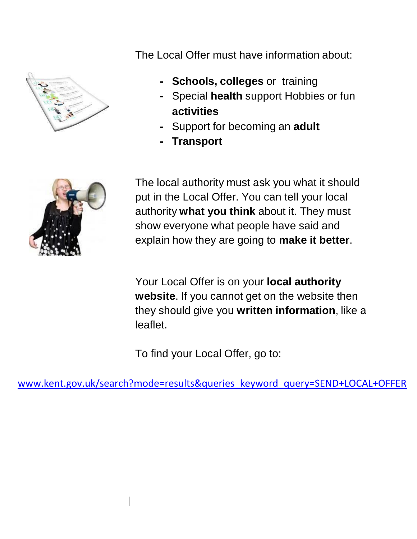

The Local Offer must have information about:

- **- Schools, colleges** or training
- **-** Special **health** support Hobbies or fun **activities**
- **-** Support for becoming an **adult**
- **- Transport**



The local authority must ask you what it should put in the Local Offer. You can tell your local authority **what you think** about it. They must show everyone what people have said and explain how they are going to **make it better**.

Your Local Offer is on your **local authority website**. If you cannot get on the website then they should give you **written information**, like a leaflet.

To find your Local Offer, go to:

[www.kent.gov.uk/search?mode=results&queries\\_keyword\\_query=SEND+LOCAL+OFFER](http://www.kent.gov.uk/search?mode=results&queries_keyword_query=SEND+LOCAL+OFFER)